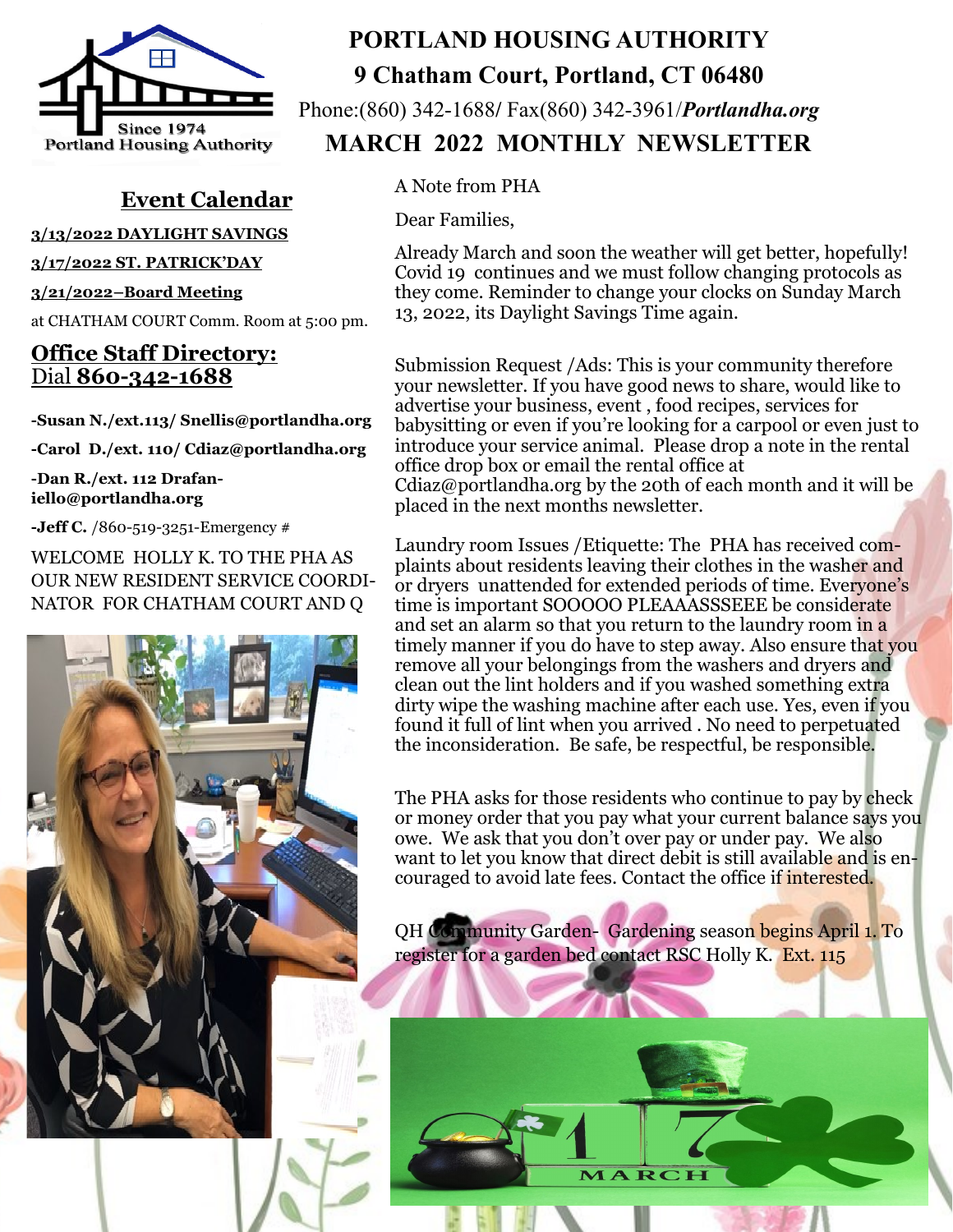

## **Event Calendar**

**3/13/2022 DAYLIGHT SAVINGS**

**3/17/2022 ST. PATRICK'DAY** 

**3/21/2022–Board Meeting** 

at CHATHAM COURT Comm. Room at 5:00 pm.

## **Office Staff Directory:**  Dial **860-342-1688**

**-Susan N./ext.113/ Snellis@portlandha.org**

**-Carol D./ext. 110/ Cdiaz@portlandha.org**

**-Dan R./ext. 112 Drafaniello@portlandha.org**

**-Jeff C.** /860-519-3251-Emergency #

WELCOME HOLLY K. TO THE PHA AS OUR NEW RESIDENT SERVICE COORDI-NATOR FOR CHATHAM COURT AND Q

## **PORTLAND HOUSING AUTHORITY 9 Chatham Court, Portland, CT 06480**

Phone:(860) 342-1688**/** Fax(860) 342-3961/*Portlandha.org* 

 **MARCH 2022 MONTHLY NEWSLETTER**

A Note from PHA

Dear Families,

Already March and soon the weather will get better, hopefully! Covid 19 continues and we must follow changing protocols as they come. Reminder to change your clocks on Sunday March 13, 2022, its Daylight Savings Time again.

Submission Request /Ads: This is your community therefore your newsletter. If you have good news to share, would like to advertise your business, event , food recipes, services for babysitting or even if you're looking for a carpool or even just to introduce your service animal. Please drop a note in the rental office drop box or email the rental office at Cdiaz@portlandha.org by the 20th of each month and it will be placed in the next months newsletter.

Laundry room Issues /Etiquette: The PHA has received complaints about residents leaving their clothes in the washer and or dryers unattended for extended periods of time. Everyone's time is important SOOOOO PLEAAASSSEEE be considerate and set an alarm so that you return to the laundry room in a timely manner if you do have to step away. Also ensure that you remove all your belongings from the washers and dryers and clean out the lint holders and if you washed something extra dirty wipe the washing machine after each use. Yes, even if you found it full of lint when you arrived . No need to perpetuated the inconsideration. Be safe, be respectful, be responsible.

The PHA asks for those residents who continue to pay by check or money order that you pay what your current balance says you owe. We ask that you don't over pay or under pay. We also want to let you know that direct debit is still available and is encouraged to avoid late fees. Contact the office if interested.

QH Community Garden- Gardening season begins April 1. To register for a garden bed contact RSC Holly K. Ext. 115